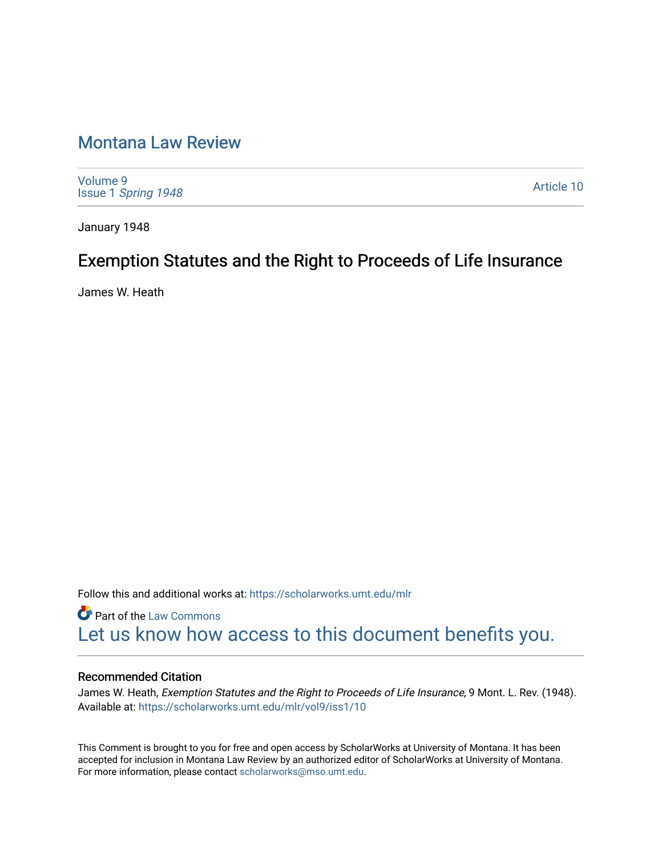# [Montana Law Review](https://scholarworks.umt.edu/mlr)

[Volume 9](https://scholarworks.umt.edu/mlr/vol9) Issue 1 [Spring 1948](https://scholarworks.umt.edu/mlr/vol9/iss1) 

[Article 10](https://scholarworks.umt.edu/mlr/vol9/iss1/10) 

January 1948

# Exemption Statutes and the Right to Proceeds of Life Insurance

James W. Heath

Follow this and additional works at: [https://scholarworks.umt.edu/mlr](https://scholarworks.umt.edu/mlr?utm_source=scholarworks.umt.edu%2Fmlr%2Fvol9%2Fiss1%2F10&utm_medium=PDF&utm_campaign=PDFCoverPages) 

**Part of the [Law Commons](http://network.bepress.com/hgg/discipline/578?utm_source=scholarworks.umt.edu%2Fmlr%2Fvol9%2Fiss1%2F10&utm_medium=PDF&utm_campaign=PDFCoverPages)** [Let us know how access to this document benefits you.](https://goo.gl/forms/s2rGfXOLzz71qgsB2) 

# Recommended Citation

James W. Heath, Exemption Statutes and the Right to Proceeds of Life Insurance, 9 Mont. L. Rev. (1948). Available at: [https://scholarworks.umt.edu/mlr/vol9/iss1/10](https://scholarworks.umt.edu/mlr/vol9/iss1/10?utm_source=scholarworks.umt.edu%2Fmlr%2Fvol9%2Fiss1%2F10&utm_medium=PDF&utm_campaign=PDFCoverPages) 

This Comment is brought to you for free and open access by ScholarWorks at University of Montana. It has been accepted for inclusion in Montana Law Review by an authorized editor of ScholarWorks at University of Montana. For more information, please contact [scholarworks@mso.umt.edu.](mailto:scholarworks@mso.umt.edu)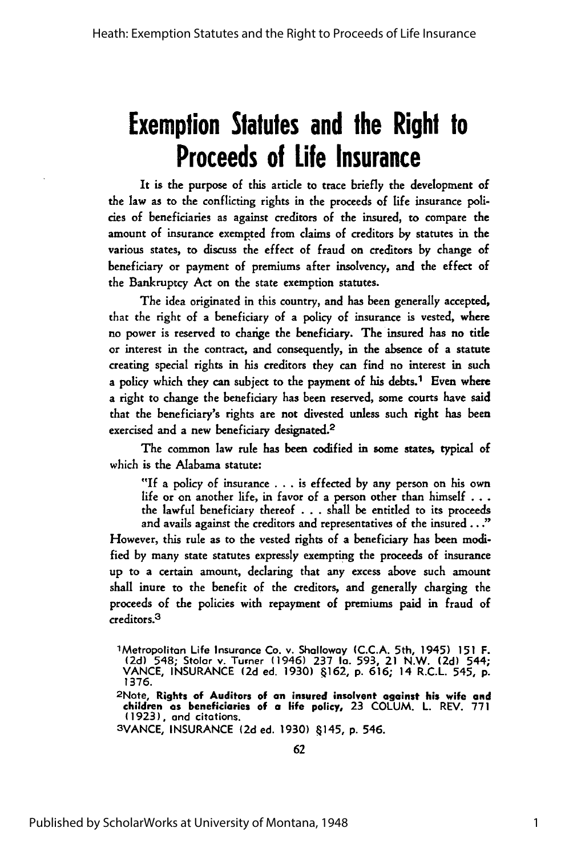# **Exemption Statutes and the Right to Proceeds of Life Insurance**

It is the purpose of this article to trace briefly the development of the law as to the conflicting rights in the proceeds of life insurance poli**des** of beneficiaries as against creditors of the insured, to compare the amount of insurance exempted from claims of creditors by statutes in the various states, to discuss the effect of fraud on creditors by change of beneficiary or payment **of** premiums after insolvency, and the effect of the Bankruptcy Act on the state exemption statutes.

The idea originated in this country, and has been generally accepted, that the right of a beneficiary of a policy of insurance is vested, where no power is reserved to charige the beneficiary. The insured has no title or interest in the contract, and consequently, in the absence of a statute creating special rights in his creditors they can find no interest in such a policy which they can subject to the payment of his debts.<sup>1</sup> Even where a right to change the beneficiary has been reserved, some courts have said that the beneficiary's rights **are** not divested unless such right has been exercised and a new beneficiary designated.<sup>2</sup>

The common law rule has been codified in some states, typical of which is the Alabama statute:

**"If** a policy of insurance . . **.** is effected by any person on his own life or on another life, in favor of a person other than himself **. . .** the lawful beneficiary thereof . . **.** shall be entitled to its proceeds and avails against the creditors and representatives of the insured **... "**

However, this rule as to the vested rights of a beneficiary has been modified by many state statutes expressly exempting the proceeds of insurance up to a certain amount, declaring that any excess above such amount shall inure to the benefit of the creditors, and generally charging the proceeds of the policies with repayment of premiums paid in fraud of creditors.<sup>3</sup>

**3VANCE, INSURANCE (2d** ed. **1930)** 4145, **p.** 546.

<sup>1</sup> Metropolitan Life Insurance Co. v. Shalloway (C.C.A. 5th, 1945) 151 F.<br>(2d) 548; Stolar v. Turner (1946) 237 Ia. 593, 21 N.W. (2d) 544;<br>VANCE, INSURANCE (2d ed. 1930) 8162, p. 616; 14 R.C.L. 545, p. 1376.

<sup>2</sup>Note, **Rights of Auditors of an insured insolvent against his wife and** children as beneficiaries of a life policy, 23 COLUM. L. REV. 77 **(1923),** and citations.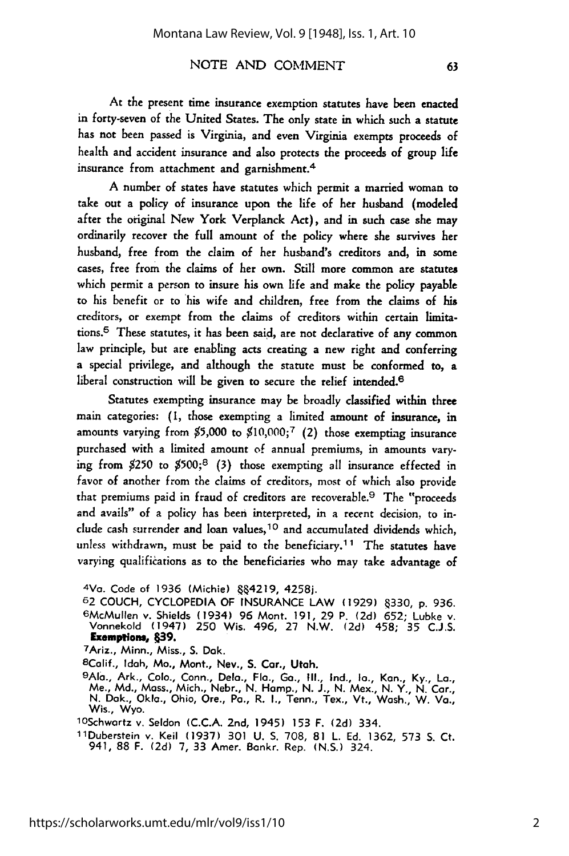At the present time insurance exemption statutes have been enacted in forty-seven of the United States. The only state in which such a statute has not been passed is Virginia, and even Virginia exempts proceeds of health and accident insurance and also protects the proceeds of group life insurance from attachment and garnishment.<sup>4</sup>

A number of states have statutes which permit a married woman to take out a policy of insurance upon the life of her husband (modeled after the original New York Verplanck Act), and in such case she may ordinarily recover the full amount of the policy where she survives her husband, free from the claim of her husband's creditors and, in some cases, free from the claims of her own. Still more common are statutes which permit a person to insure his own life and make the policy payable to his benefit or to his wife and children, free from the claims of his creditors, or exempt from the claims of creditors within certain limitations.5 These statutes, it has been said, are not declarative of any common law principle, but are enabling acts creating a new right and conferring a special privilege, and although the statute must be conformed to, a liberal construction will be given to secure the relief intended.<sup>6</sup>

Statutes exempting insurance may be broadly classified within three main categories: **(1,** those exempting a limited amount of insurance, in amounts varying from **\$5,000** to **\$10,000;7** (2) those exempting insurance purchased with a limited amount of annual premiums, in amounts varying from \$250 to \$500;8 **(3)** those exempting all insurance effected in favor of another from the claims of creditors, most of which also provide that premiums paid in fraud of creditors are recoverable.9 The "proceeds and avails" of a policy has been interpreted, in a recent decision, to include cash surrender and loan values, 10 and accumulated dividends which, unless withdrawn, must be paid to the beneficiary.<sup>11</sup> The statutes have varying qualifications as to the beneficiaries who may take advantage of

<sup>4</sup>Va. Code of 1936 (Michie) 884219, 4258j.

<sup>62</sup> COUCH, CYCLOPEDIA OF INSURANCE LAW **(1929) 330, p.** 936. <sup>6</sup> McMullen **v.** Shields (1934) 96 Mont. **191,** 29 P. **(2d) 652;** Lubke v. Vonnekold (1947) **250** Wis. 496, **27** N.W. **(2d)** 458; 35 C.J.S. **Exempions, 639.** 7Ariz., Minn., Miss., **S.** Dak.

<sup>8</sup>Calif., Idah, Mo., Mont., Nev., S. Car., Utah.

<sup>9</sup>Ala., Ark., Colo., Conn., Dela., Fla., Ga., Ill., Ind., Ia., Kan., Ky., La., Me., Md., Mass., Mich., Nebr., N. Hamp., N. J., N. Mex., N. Y., N. Car., N. Dak., Okla., Ohio, Ore., Pa., R. I., Tenn., Tex., Vt., Wash., W. Va.

<sup>10</sup>Schwartz v. Seldon (C.C.A. 2nd, 1945) 153 F. (2d) 334.<br>11Duberstein v. Keil (1937) 301 U. S. 708, 81 L. Ed. 1362, 573 S. Ct<br>- 941, 88 F. (2d) 7, 33 Amer. Bankr. Rep. (N.S.) 324.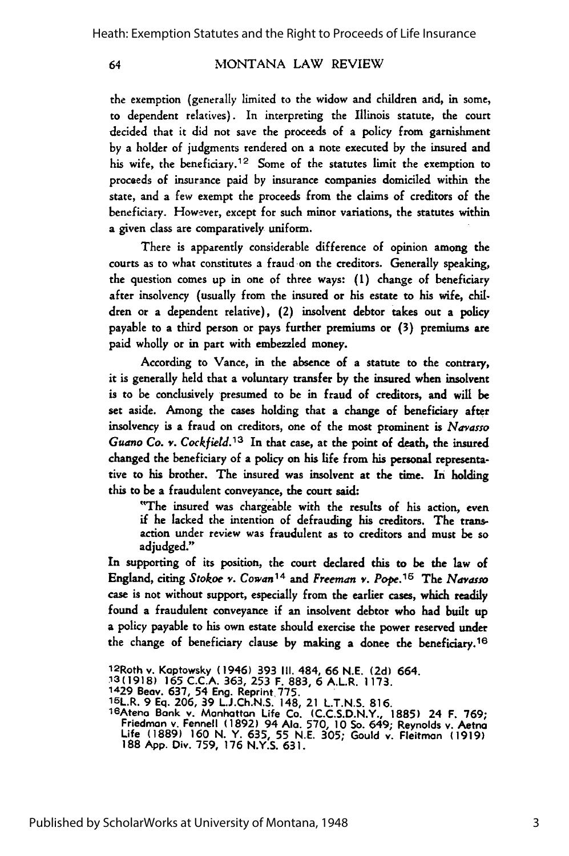64

#### MONTANA LAW REVIEW

the exemption (generally limited to the widow and children and, in some, to dependent relatives). In interpreting the Illinois statute, the court decided that it did not save the proceeds of a policy from garnishment by a holder of judgments rendered on a note executed by the insured and his wife, the beneficiary.<sup>12</sup> Some of the statutes limit the exemption to proceeds of insurance paid by insurance companies domiciled within the state, and a few exempt the proceeds from the claims of creditors of the beneficiary. However, except for such minor variations, the statutes within a given class are comparatively uniform.

There is apparently considerable difference of opinion among the courts as to what constitutes a fraud on the creditors. Generally speaking, the question comes up in one of three ways: **(1)** change of beneficiary after insolvency (usually from the insured or his estate to his wife, children or a dependent relative), (2) insolvent debtor takes out a policy payable to a third person or pays further premiums or **(3)** premiums are paid wholly or in part with embezzled money.

According to Vance, in the absence of a statute to the contrary, it is generally held that a voluntary transfer by the insured when insolvent is to be conclusively presumed to be in fraud of creditors, and will be set aside. Among the cases holding that a change of beneficiary after insolvency is a fraud on creditors, one of the most prominent is *Navasso Guano Co. v. Cockfield.13* In that case, at the point of death, the insured changed the beneficiary of a policy on his life from his personal representative to his brother. The insured was insolvent at the time. In holding this to be a fraudulent conveyance, the court said:

"The insured was chargeable with the results of his action, even if he lacked the intention of defrauding his creditors. The transaction under review was fraudulent as to creditors and must be so adjudged."

In supporting of its position, the court declared this to be the law of England, citing *Stokoe v. Cowan14* and *Freeman v.* Pope.16 The Ndvasso case is not without support, especially from the earlier cases, which readily found a fraudulent conveyance if an insolvent debtor who had built up a policy payable to his own estate should exercise the power reserved under the change of beneficiary clause by making a donee the beneficiary. <sup>16</sup>

<sup>1</sup> 2Roth v. Kaptowsky (1946) 393 **III.** 484, 66 N.E. **(2d)** 664.

**<sup>&#</sup>x27;3(1918) 165** C.C.A. 363, 253 F. 883, **6** A.L.R. **1173.**

**<sup>1429</sup>**Beov. **637,** 54 Eng. Reprint.775. 15L.R. 9 **Eq. 206, 39 L.J.Ch.N.S.** 148, 21 **L.T.N.S. 816.**

<sup>1</sup>6Ateno Bank v. Manhattan Life Co. **(C.C.S.D.N.Y., 1885)** 24 F. **769;** Friedman v. Fennell **(1892)** 94 **Ala. 570, 10** So. 649; Reynolds v. Aetna Life **(1889) 160 N.** Y. **635, 55 N.E. 305;** Gould **v.** Fleitmon **(1919) 188 App.** Div. 759, 176 **N.Y.S. 631.**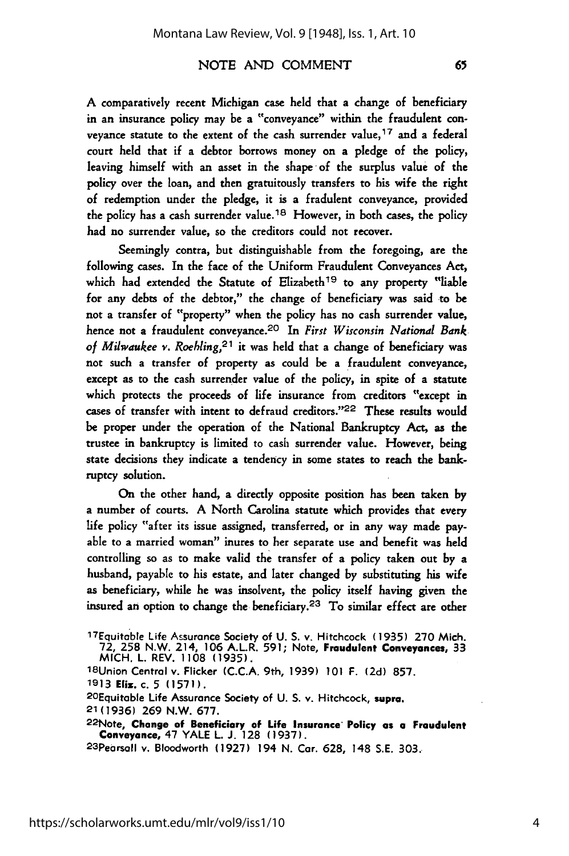A comparatively recent Michigan case held that a change of beneficiary in an insurance policy may be a "conveyance" within the fraudulent conveyance statute to the extent of the cash surrender value,<sup>17</sup> and a federal court held that if a debtor borrows money on a pledge of the policy, leaving himself with an asset in the shape of the surplus value of the policy over the loan, and then gratuitously transfers to his wife the right of redemption under the pledge, it is a fradulent conveyance, provided the policy has a cash surrender value.<sup>18</sup> However, in both cases, the policy had no surrender value, so the creditors could not recover.

Seemingly contra, but distinguishable from the foregoing, are the following cases. In the face of the Uniform Fraudulent Conveyances Act, which had extended the Statute of Elizabeth<sup>19</sup> to any property "liable for any debts of the debtor," the change of beneficiary was said to be not a transfer of "property" when the policy has no cash surrender value, hence not a fraudulent conveyance. 20 In *First Wisconsin National Bank of Milwaukee v. Roehling,2 1* it was held that a change of beneficiary was not such a transfer of property as could be a fraudulent conveyance, except as to the cash surrender value of the policy, in spite of a statute which protects the proceeds of life insurance from creditors "except in cases of transfer with intent to defraud creditors."<sup>22</sup> These results would be proper under the operation of the National Bankruptcy Act, as the trustee in bankruptcy is limited to cash surrender value. However, being state decisions they indicate a tendency in some states to reach the bankruptcy solution.

On the other hand, a directly opposite position has been taken by a number of courts. A North Carolina statute which provides that every life policy "after its issue assigned, transferred, or in any way made payable to a married woman" inures to her separate use and benefit was held controlling so as to make valid the transfer of a policy taken out by a husband, payable to his estate, and later changed by substituting his wife as beneficiary, while he was insolvent, the policy itself having given the insured an option to change the beneficiary.<sup>23</sup> To similar effect are other

2OEquitable Life Assurance Society of **U. S. v.** Hitchcock, supra.

**22Note, Change of Beneficiary of Life Insurance' Policy as a Fraudulent Conveyance, 47 YALE L. J. 128 (1937).** <sup>23</sup> Pearsall v. Bloodworth **(1927) 194 N. Car. 628, 148 S.E. 303.**

<sup>17</sup>Equitable Life Assurance Society of **U. S.** v. Hitchcock **(1935) 270** Mich. **72, 258** N.W. 214, **106** A.L.R. **591;** Note, Fraudulent **Conveyances, 33**

MICH. L. REV. **1108 (1935). <sup>18</sup> Union** Central v. Flicker **(C.C.A.** 9th, **1939) 101** F. **(2d) 857. 1913 Eliz. c. 5 (1571).**

<sup>21(1936)</sup> **269** N.W. **677.**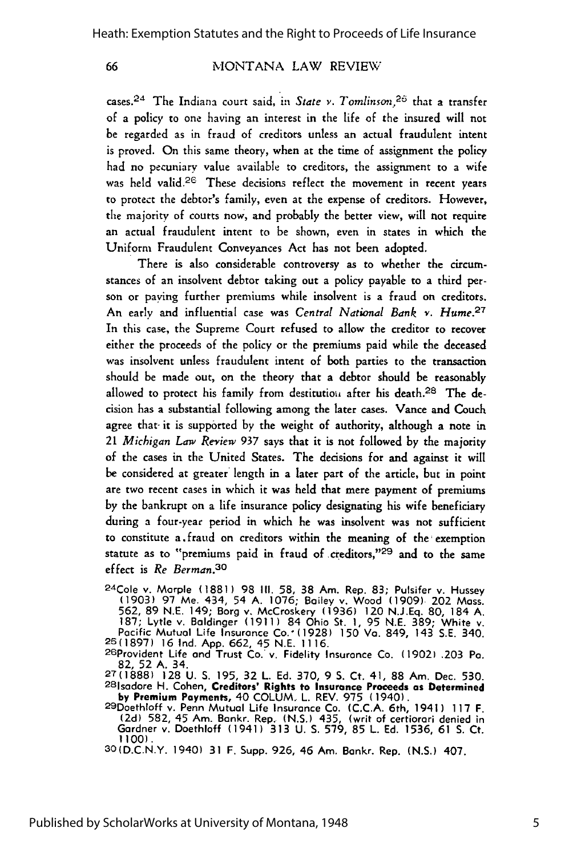66

# MONTANA LAW REVIEW

cases. 24 The Indiana court said, in *State v. Tomlinson,26* that a transfer of a policy to one having an interest in the life of the insured will not be regarded as in fraud of creditors unless an actual fraudulent intent is proved. On this same theory, when at the time of assignment the policy had no pecuniary value available to creditors, the assignment to a wife was held valid.<sup>26</sup> These decisions reflect the movement in recent years to protect the debtor's family, even at the expense of creditors. However, the majority of courts now, and probably the better view, will not require an actual fraudulent intent to be shown, even in states in which the Uniform Fraudulent Conveyances Act has not been adopted.

There is also considerable controversy as to whether the circumstances of an insolvent debtor taking out a policy payable to a third person or paying further premiums while insolvent is a fraud on creditors. An early and influential case was *Central National Bank* v. *Hume.27* In this case, the Supreme Court refused to allow the creditor to recover either the proceeds of the policy or the premiums paid while the deceased was insolvent unless fraudulent intent of both parties to the transaction should be made out, on the theory that a debtor should be reasonably allowed to protect his family from destitutiou after his death.28 The decision has a substantial following among the later cases. Vance and Couch agree that it is supported by the weight of authority, although a note in *21 Michigan Law Review* 937 says that it is not followed by the majority of the cases in the United States. The decisions for and against it will be considered at greater length in a later part of the article, but in point are two recent cases in which it was held that mere payment of premiums by the bankrupt on a life insurance policy designating his wife beneficiary during a four-year period in which he was insolvent was not sufficient to constitute a. fraud on creditors within the meaning of the exemption statute as to "premiums paid in fraud of creditors,"29 and to the same effect is *Re Berman.30*

2 4 Cole **v.** Morple **(1881)** 98 **III. 58, 38** Am. Rep. **83;** Pulsifer **v.** Hussey **(1903) 97** Me. 434, 54 A. 1076; Bailey v. Wood (1909) 202 Mass. 562, 89 N.E. 149; Borg v. McCroskery **(1936)** 120 N.J.Eq. 80, 184 A. 187; Lytle v. Baldinger **(1911)** 84 Ohio St. **1,** 95 N.E. 389; White v. Pacific Mutual Life Insurance Co.' (1928) 150 Va. 849, 143 S.E. 340. **25(1897) 16** Ind. App. 662, 45 N.E. 1116. <sup>26</sup> Provident Life and Trust Co. v. Fidelity Insurance Co. **(1902) .203** Pa.

82, 52 A. 34.

27(1888) 128 U. S. 195, 32 L. Ed. 370, 9 **S.** Ct. 41, 88 Am. Dec. 530. <sup>2</sup> <sup>8</sup> 1sodore H. Cohen, **Creditors' Rights to Insurance Proceeds as Determined by Premium** Payments, 40 COLUM. L. REV. 975 (1940). <sup>29</sup> Doethloff v. Penn Mutual Life Insurance Co. (C.C.A. 6th, 1941) **117** F.

(2d) 582, 45 Am. Bankr. Rep. (N.S.) 435, (writ of certiorari denied in Gardner v. Doethloff (1941) 313 U. S. 579, 85 L. Ed. 1536, 61 **S.** Ct.

**1100).** 30(D.C.N.Y. 1940) 31 F. Supp. 926, 46 Am. Bankr. Rep. (N.S.) 407.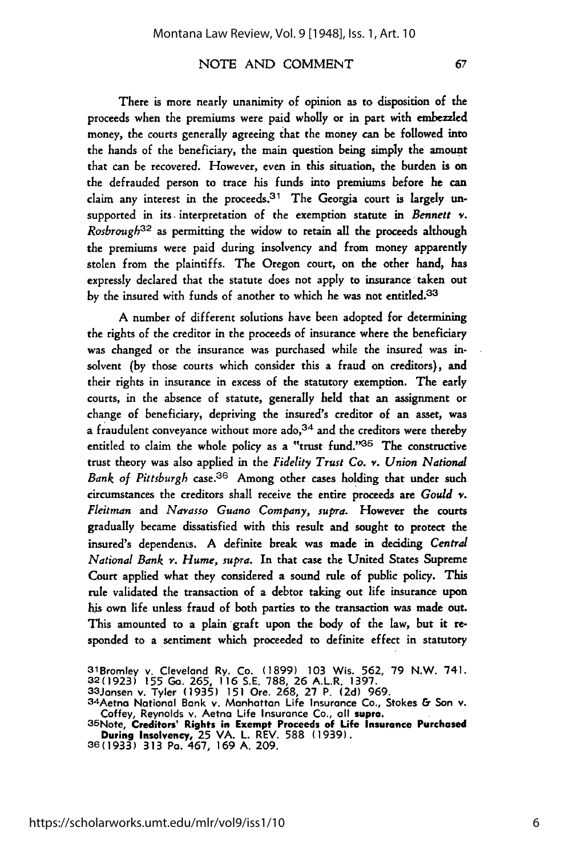There is more nearly unanimity of opinion as to disposition of the proceeds when the premiums were paid wholly or in part with embezzled money, the courts generally agreeing that the money can be followed into the hands of the beneficiary, the main question being simply the amount that can be recovered. However, even in this situation, the burden is on the defrauded person to trace his funds into premiums before he can claim any interest in the proceeds.  $31$  The Georgia court is largely unsupported in its. interpretation of the exemption statute in *Bennett* **v.** *Rosbrough*<sup>32</sup> as permitting the widow to retain all the proceeds although the premiums were paid during insolvency and from money apparently stolen from the plaintiffs. The Oregon court, on the other hand, has expressly declared that the statute does not apply to insurance taken out by the insured with funds of another to which he was not entitled.<sup>33</sup>

A number of different solutions have been adopted for determining the rights of the creditor in the proceeds of insurance where the beneficiary was changed or the insurance was purchased while the insured was insolvent **(by** those courts which consider this a fraud on creditors), and their rights in insurance in excess of the statutory exemption. The early courts, in the absence of statute, generally held that an assignment or change of beneficiary, depriving the insured's creditor of an asset, was a fraudulent conveyance without more  $\text{ado},^{34}$  and the creditors were thereby entitled to claim the whole policy as a "trust fund." 35 The constructive trust theory was also applied in the *Fidelity Trust Co. v. Union National Bank of Pittsburgh* case.36 Among other cases holding that under such circumstances the creditors shall receive the entire proceeds are *Gould v. Fleitman and Navasso Guano Company, supra.* However the courts gradually became dissatisfied with this result and sought to protect the insured's dependents. A definite break was made in deciding *Central National Bank v. Hume, supra.* In that case the United States Supreme Court applied what they considered a sound rule of public policy. This rule validated the transaction of a debtor taking out life insurance upon his own life unless fraud of both parties to the transaction was made out. This amounted to a plain graft upon the body of the law, but it responded to a sentiment which proceeded to definite effect in statutory

67

<sup>31</sup>Bromley v. Cleveland Ry. Co. (1899) 103 Wis. 562, 79 N.W. 741<br>32(1923) 155 Ga. 265, 116 S.E. 788, 26 A.L.R. 1397.<br>33Jansen v. Tyler (1935) 151 Ore. 268, 27 P. (2d) 969.<br>34Aetna National Bank v. Manhattan Life Insurance C

Coffey, Reynolds v. Aetna Life Insurance Co., all **supra.**<br>35Note, **Creditors' Rights in Exempt Proceeds of Life Insurance Purchased<br>During Insolvency, 25 VA. L. REV. 588 (1939).<br>36(1933) 313 Pa. 467. 169 A. 209.**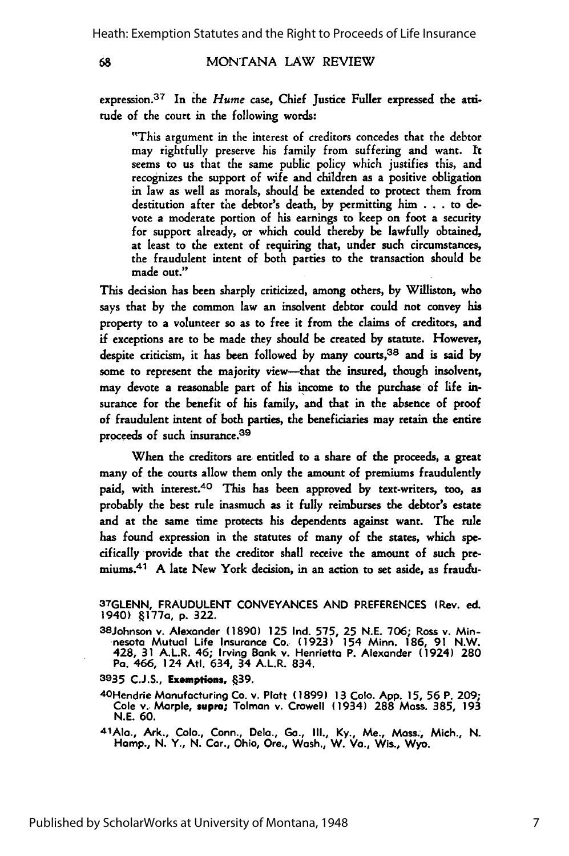68

#### MONTANA LAW REVIEW

expression.<sup>37</sup> In the *Hume* case, Chief Justice Fuller expressed the attitude of the court in the following words:

"This argument in the interest of creditors concedes that the debtor may rightfully preserve his family from suffering and want. It seems to us that the same public policy which justifies this, and recognizes the support of wife and children as a positive obligation in law as well as morals, should be extended to protect them from destitution after the debtor's death, by permitting him . . . to devote a moderate portion of his earnings to keep on foot a security for support already, or which could thereby be lawfully obtained, at least to the extent of requiring that, under such circumstances, the fraudulent intent of both parties to the transaction should be made out."

This decision has been sharply criticized, among others, by Williston, who says that by the common law an insolvent debtor could not convey his property to a volunteer so as to free it from the claims of creditors, and if exceptions are to be made they should be created by statute. However, despite criticism, it has been followed by many courts, 38 and is said by some to represent the majority view--that the insured, though insolvent, may devote a reasonable part of his income to the purchase of life insurance for the benefit of his family, and that in the absence of proof of fraudulent intent of both parties, the beneficiaries may retain the entire proceeds of such insurance.<sup>39</sup>

When the creditors are entitled to a share of the proceeds, a great many of the courts allow them only the amount of premiums fraudulently paid, with interest.<sup>40</sup> This has been approved by text-writers, too, as probably the best rule inasmuch as it fully reimburses the debtor's estate and at the same time protects his dependents against want. The rule has found expression in the statutes of many of the states, which specifically provide that the creditor shall receive the amount of such premiums.<sup>41</sup> A late New York decision, in an action to set aside, as fraudu-

3 8 Johnson v. Alexander **(1890) 125 Ind. 575, 25 N.E. 706;** Ross v. Minnesota Mutual Life Insurance Co. **(1923)** 154 Minn. **186, 91** N.W. 428, **31** A.L.R. 46; Irving Bank v. Henrietta P. Alexander (1924) **280** Pa. 466, 124 AtI. 634, 34 A.L.R. 834.

**3935 C.J.S., Exemptions, 39.**

4OHendrie Manufacturing Co. v. Platt **(1899) 13 Colo. App. 15, 56** P. 209; Cole v.- Marple, **supra;** Tolman v. Crowell (1934) **288** Mass. **385, 193 N.E. 60.**

<sup>4</sup> lAIn., Ark., Colo., Conn., Dela., **Go., Ill., Ky.,** Me., Moss., Mich., **N.** Hamp., **N.** Y., **N.** Car., Ohio, Ore., Wash,, W. Va., Wis., **Wyo.**

**<sup>37</sup>GLENN, FRAUDULENT CONVEYANCES AND** PREFERENCES (Rev. ed. 1940) **.177a, p. 322.**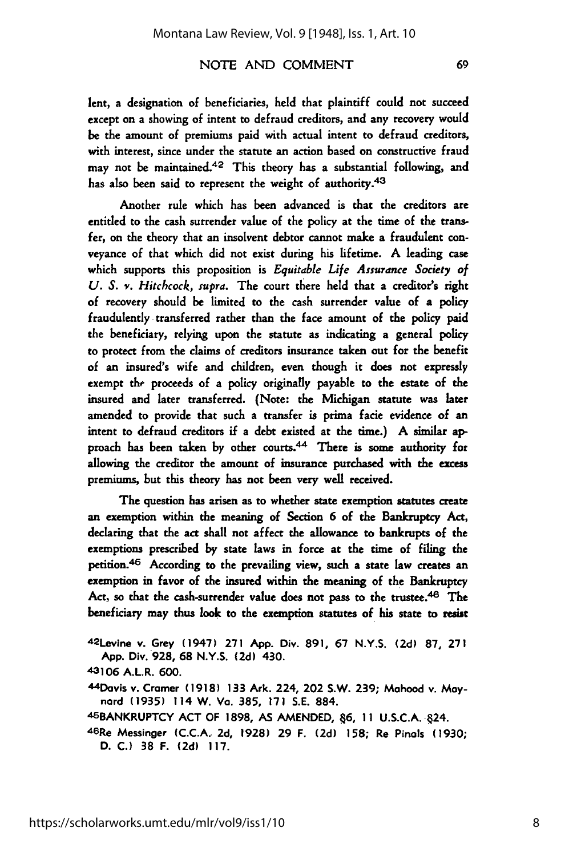lent, a designation of beneficiaries, held that plaintiff could not succeed except on a showing of intent to defraud creditors, and any recovery would be the amount of premiums paid with actual intent to defraud creditors, with interest, since under the statute an action based on constructive fraud may not be maintained. 42 This theory has a substantial following, and has also been said to represent the weight of authority.43

Another rule which has been advanced is that the creditors are entitled to the cash surrender value of the policy at the time of the transfer, on the theory that an insolvent debtor cannot make a fraudulent conveyance of that which did not exist during his lifetime. **A** leading case which supports this proposition is *Equitable Life Assurance Society of U. S. v. Hitchcock, supra.* The court there held that a creditor's right of recovery should be limited to the cash surrender value of a policy fraudulently transferred rather than the face amount of the policy paid the beneficiary, relying upon the statute as indicating a general policy to protect from the claims of creditors insurance taken out for the benefit of an insured's wife and children, even though it does not expressly exempt the proceeds of a policy originally payable to the estate of the insured and later transferred. (Note: the Michigan statute was later amended to provide that such a transfer is prima facie evidence of an intent to defraud creditors if a debt existed at the time.) A similar approach has been taken by other courts.<sup>44</sup> There is some authority for allowing the creditor the amount of insurance purchased with the excess premiums, but this theory has not been very well received.

The question has arisen as to whether state exemption statutes create an exemption within the meaning of Section **6** of the Bankruptcy Act, declaring that the act shall not affect the allowance to bankrupts of the exemptions prescribed by state laws in force at the time of filing the petition. 46 According to the prevailing view, such a state law creates an exemption in favor of the insured within the meaning of the Bankruptcy Act, so that the cash-surrender value does not pass to the trustee.<sup>48</sup> The beneficiary may thus look to the exemption statutes of his state to resist

42Levine v. Grey (1947) **271 App.** Div. **891, 67 N.Y.S. (2d) 87, 271 App.** Div. **928, 68** N.Y.S. **(2d)** 430.

43106 A.L.R. 600.

<sup>44</sup>Davis v. Cramer **(1918) 133** Ark. 224, 202 S.W. **239;** Mahood v. **May**nard **(1935)** 114 W. Va. **385, 171 S.E.** 884.

<sup>4</sup> 5BANKRUPTCY **ACT** OF **1898, AS AMENDED,** 46, **11 U.S.C.A.** .24.

**46Re** Messinger **(C.C.A. 2d, 1928) 29** F. **(2d) 158;** Re Pinals **(1930; D. C.) 38** F. **(2d) 117.**